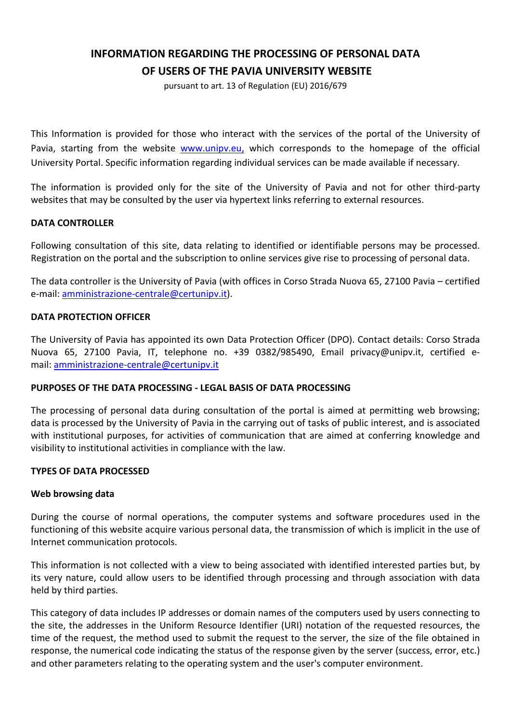# **INFORMATION REGARDING THE PROCESSING OF PERSONAL DATA OF USERS OF THE PAVIA UNIVERSITY WEBSITE**

pursuant to art. 13 of Regulation (EU) 2016/679

This Information is provided for those who interact with the services of the portal of the University of Pavia, starting from the website [www.unipv.eu,](http://www.unipv.eu/) which corresponds to the homepage of the official University Portal. Specific information regarding individual services can be made available if necessary.

The information is provided only for the site of the University of Pavia and not for other third-party websites that may be consulted by the user via hypertext links referring to external resources.

# **DATA CONTROLLER**

Following consultation of this site, data relating to identified or identifiable persons may be processed. Registration on the portal and the subscription to online services give rise to processing of personal data.

The data controller is the University of Pavia (with offices in Corso Strada Nuova 65, 27100 Pavia – certified e-mail: [amministrazione-centrale@certunipv.it\)](mailto:amministrazione-centrale@certunipv.it).

#### **DATA PROTECTION OFFICER**

The University of Pavia has appointed its own Data Protection Officer (DPO). Contact details: Corso Strada Nuova 65, 27100 Pavia, IT, telephone no. +39 0382/985490, Email privacy@unipv.it, certified email: [amministrazione-centrale@certunipv.it](mailto:amministrazione-centrale@certunipv.it)

#### **PURPOSES OF THE DATA PROCESSING - LEGAL BASIS OF DATA PROCESSING**

The processing of personal data during consultation of the portal is aimed at permitting web browsing; data is processed by the University of Pavia in the carrying out of tasks of public interest, and is associated with institutional purposes, for activities of communication that are aimed at conferring knowledge and visibility to institutional activities in compliance with the law.

#### **TYPES OF DATA PROCESSED**

#### **Web browsing data**

During the course of normal operations, the computer systems and software procedures used in the functioning of this website acquire various personal data, the transmission of which is implicit in the use of Internet communication protocols.

This information is not collected with a view to being associated with identified interested parties but, by its very nature, could allow users to be identified through processing and through association with data held by third parties.

This category of data includes IP addresses or domain names of the computers used by users connecting to the site, the addresses in the Uniform Resource Identifier (URI) notation of the requested resources, the time of the request, the method used to submit the request to the server, the size of the file obtained in response, the numerical code indicating the status of the response given by the server (success, error, etc.) and other parameters relating to the operating system and the user's computer environment.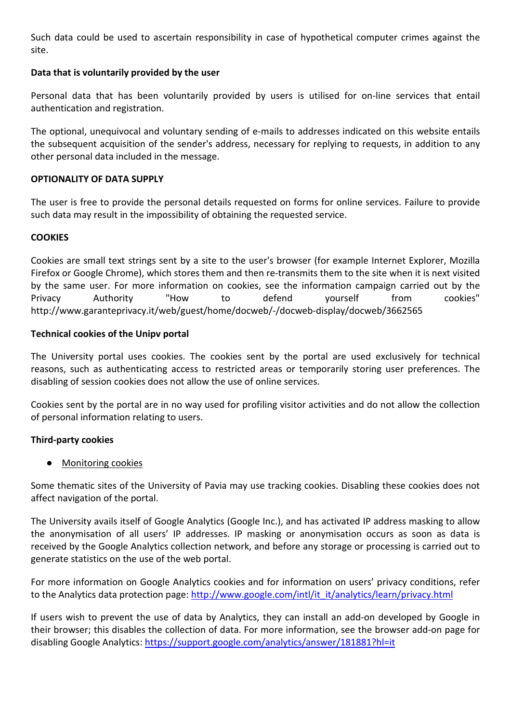Such data could be used to ascertain responsibility in case of hypothetical computer crimes against the site.

# **Data that is voluntarily provided by the user**

Personal data that has been voluntarily provided by users is utilised for on-line services that entail authentication and registration.

The optional, unequivocal and voluntary sending of e-mails to addresses indicated on this website entails the subsequent acquisition of the sender's address, necessary for replying to requests, in addition to any other personal data included in the message.

# **OPTIONALITY OF DATA SUPPLY**

The user is free to provide the personal details requested on forms for online services. Failure to provide such data may result in the impossibility of obtaining the requested service.

# **COOKIES**

Cookies are small text strings sent by a site to the user's browser (for example Internet Explorer, Mozilla Firefox or Google Chrome), which stores them and then re-transmits them to the site when it is next visited by the same user. For more information on cookies, see the information campaign carried out by the Privacy Authority "How to defend yourself from cookies" http://www.garanteprivacy.it/web/guest/home/docweb/-/docweb-display/docweb/3662565

### **Technical cookies of the Unipv portal**

The University portal uses cookies. The cookies sent by the portal are used exclusively for technical reasons, such as authenticating access to restricted areas or temporarily storing user preferences. The disabling of session cookies does not allow the use of online services.

Cookies sent by the portal are in no way used for profiling visitor activities and do not allow the collection of personal information relating to users.

# **Third-party cookies**

# ● Monitoring cookies

Some thematic sites of the University of Pavia may use tracking cookies. Disabling these cookies does not affect navigation of the portal.

The University avails itself of Google Analytics (Google Inc.), and has activated IP address masking to allow the anonymisation of all users' IP addresses. IP masking or anonymisation occurs as soon as data is received by the Google Analytics collection network, and before any storage or processing is carried out to generate statistics on the use of the web portal.

For more information on Google Analytics cookies and for information on users' privacy conditions, refer to the Analytics data protection page: [http://www.google.com/intl/it\\_it/analytics/learn/privacy.html](http://www.google.com/intl/it_it/analytics/learn/privacy.html)

If users wish to prevent the use of data by Analytics, they can install an add-on developed by Google in their browser; this disables the collection of data. For more information, see the browser add-on page for disabling Google Analytics: <https://support.google.com/analytics/answer/181881?hl=it>